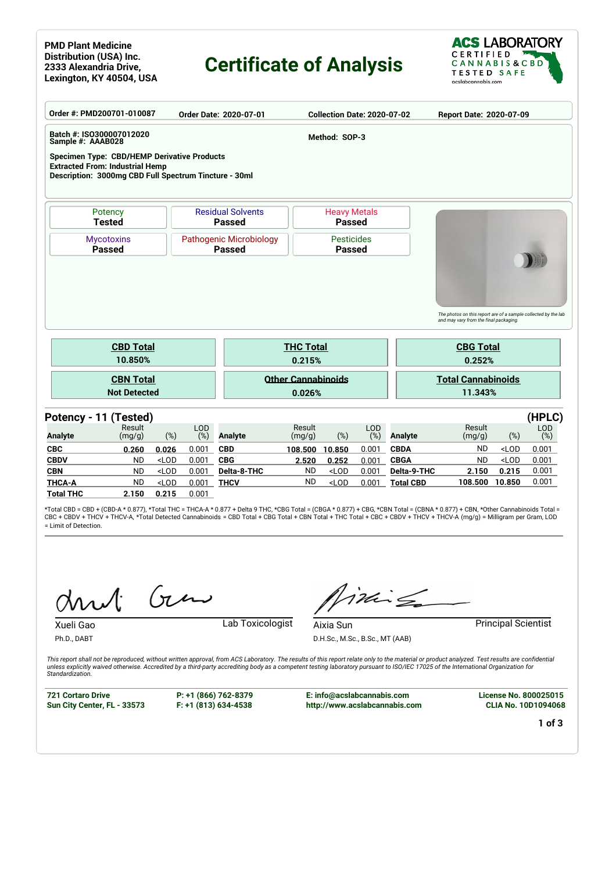### **PMD Plant Medicine Distribution (USA) Inc. 2333 Alexandria Drive, Lexington, KY 40504, USA**

# **Certificate of Analysis**



| Order #: PMD200701-010087                                                                    |                     |         |            | Order Date: 2020-07-01         |                                                                             | <b>Collection Date: 2020-07-02</b> |            |                  | Report Date: 2020-07-09                                                                                  |         |        |  |  |
|----------------------------------------------------------------------------------------------|---------------------|---------|------------|--------------------------------|-----------------------------------------------------------------------------|------------------------------------|------------|------------------|----------------------------------------------------------------------------------------------------------|---------|--------|--|--|
| Batch #: ISO300007012020<br>Sample #: AAAB028                                                |                     |         |            |                                |                                                                             | Method: SOP-3                      |            |                  |                                                                                                          |         |        |  |  |
|                                                                                              |                     |         |            |                                |                                                                             |                                    |            |                  |                                                                                                          |         |        |  |  |
| <b>Specimen Type: CBD/HEMP Derivative Products</b><br><b>Extracted From: Industrial Hemp</b> |                     |         |            |                                |                                                                             |                                    |            |                  |                                                                                                          |         |        |  |  |
| Description: 3000mg CBD Full Spectrum Tincture - 30ml                                        |                     |         |            |                                |                                                                             |                                    |            |                  |                                                                                                          |         |        |  |  |
|                                                                                              |                     |         |            |                                |                                                                             |                                    |            |                  |                                                                                                          |         |        |  |  |
|                                                                                              | Potency             |         |            | <b>Residual Solvents</b>       |                                                                             | <b>Heavy Metals</b>                |            |                  |                                                                                                          |         |        |  |  |
|                                                                                              | <b>Tested</b>       |         |            | <b>Passed</b>                  |                                                                             | <b>Passed</b>                      |            |                  |                                                                                                          |         |        |  |  |
|                                                                                              | <b>Mycotoxins</b>   |         |            | <b>Pathogenic Microbiology</b> |                                                                             | <b>Pesticides</b>                  |            |                  |                                                                                                          |         |        |  |  |
|                                                                                              | <b>Passed</b>       |         |            | <b>Passed</b>                  |                                                                             | <b>Passed</b>                      |            |                  |                                                                                                          |         |        |  |  |
|                                                                                              |                     |         |            |                                |                                                                             |                                    |            |                  |                                                                                                          |         |        |  |  |
|                                                                                              |                     |         |            |                                |                                                                             |                                    |            |                  |                                                                                                          |         |        |  |  |
|                                                                                              |                     |         |            |                                |                                                                             |                                    |            |                  |                                                                                                          |         |        |  |  |
|                                                                                              |                     |         |            |                                |                                                                             |                                    |            |                  |                                                                                                          |         |        |  |  |
|                                                                                              |                     |         |            |                                |                                                                             |                                    |            |                  |                                                                                                          |         |        |  |  |
|                                                                                              |                     |         |            |                                |                                                                             |                                    |            |                  | The photos on this report are of a sample collected by the lab<br>and may vary from the final packaging. |         |        |  |  |
|                                                                                              |                     |         |            |                                |                                                                             |                                    |            |                  |                                                                                                          |         |        |  |  |
|                                                                                              | <b>CBD Total</b>    |         |            |                                | <b>THC Total</b>                                                            |                                    |            | <b>CBG Total</b> |                                                                                                          |         |        |  |  |
|                                                                                              | 10.850%             |         |            |                                |                                                                             | 0.215%<br>0.252%                   |            |                  |                                                                                                          |         |        |  |  |
|                                                                                              | <b>CBN Total</b>    |         |            |                                |                                                                             |                                    |            |                  |                                                                                                          |         |        |  |  |
|                                                                                              |                     |         |            |                                | <b>Other Cannabinoids</b><br><b>Total Cannabinoids</b><br>11.343%<br>0.026% |                                    |            |                  |                                                                                                          |         |        |  |  |
|                                                                                              | <b>Not Detected</b> |         |            |                                |                                                                             |                                    |            |                  |                                                                                                          |         |        |  |  |
| Potency - 11 (Tested)                                                                        |                     |         |            |                                |                                                                             |                                    |            |                  |                                                                                                          |         | (HPLC) |  |  |
|                                                                                              | Result              |         | <b>LOD</b> |                                | Result                                                                      |                                    | <b>LOD</b> |                  | Result                                                                                                   |         | LOD    |  |  |
| <b>Analyte</b>                                                                               | (mg/g)              | (%)     | (%)        | <b>Analyte</b>                 | (mg/g)                                                                      | $(\%)$                             | (%)        | <b>Analyte</b>   | (mg/g)                                                                                                   | $(\%)$  | (%)    |  |  |
| <b>CBC</b>                                                                                   | 0.260               | 0.026   | 0.001      | <b>CBD</b>                     | 108.500                                                                     | 10.850                             | 0.001      | <b>CBDA</b>      | <b>ND</b>                                                                                                | $<$ LOD | 0.001  |  |  |
| <b>CBDV</b>                                                                                  | <b>ND</b>           | $<$ LOD | 0.001      | <b>CBG</b>                     | 2.520                                                                       | 0.252                              | 0.001      | <b>CBGA</b>      | <b>ND</b>                                                                                                | $<$ LOD | 0.001  |  |  |
| <b>CBN</b>                                                                                   | <b>ND</b>           | $<$ LOD | 0.001      | Delta-8-THC                    | <b>ND</b>                                                                   | $<$ LOD                            | 0.001      | Delta-9-THC      | 2.150                                                                                                    | 0.215   | 0.001  |  |  |
| <b>THCA-A</b>                                                                                | <b>ND</b>           | $<$ LOD | 0.001      | <b>THCV</b>                    | <b>ND</b>                                                                   | $<$ LOD                            | 0.001      | <b>Total CBD</b> | 108.500                                                                                                  | 10.850  | 0.001  |  |  |
| <b>Total THC</b>                                                                             | 2.150               | 0.215   | 0.001      |                                |                                                                             |                                    |            |                  |                                                                                                          |         |        |  |  |

\*Total CBD = CBD + (CBD-A \* 0.877), \*Total THC = THCA-A \* 0.877 + Delta 9 THC, \*CBG Total = (CBGA \* 0.877) + CBG, \*CBN Total = (CBNA \* 0.877) + CBN, \*Other Cannabinoids Total = CBC + CBDV + THCV + THCV-A, \*Total Detected Cannabinoids = CBD Total + CBG Total + CBN Total + THC Total + CBC + CBDV + THCV + THCV-A (mg/g) = Milligram per Gram, LOD = Limit of Detection.

Gen

iding

**Aixia Sun Principal Scientist** D.H.Sc., M.Sc., B.Sc., MT (AAB)

*This report shall not be reproduced, without written approval, from ACS Laboratory. The results of this report relate only to the material or product analyzed. Test results are confidential unless explicitly waived otherwise. Accredited by a third-party accrediting body as a competent testing laboratory pursuant to ISO/IEC 17025 of the International Organization for Standardization.*

**721 Cortaro Drive Sun City Center, FL - 33573**

Ph.D., DABT

**P: +1 (866) 762-8379 F: +1 (813) 634-4538**

Xueli Gao Lab Toxicologist

**E: info@acslabcannabis.com http://www.acslabcannabis.com** **License No. 800025015 CLIA No. 10D1094068**

**1 of 3**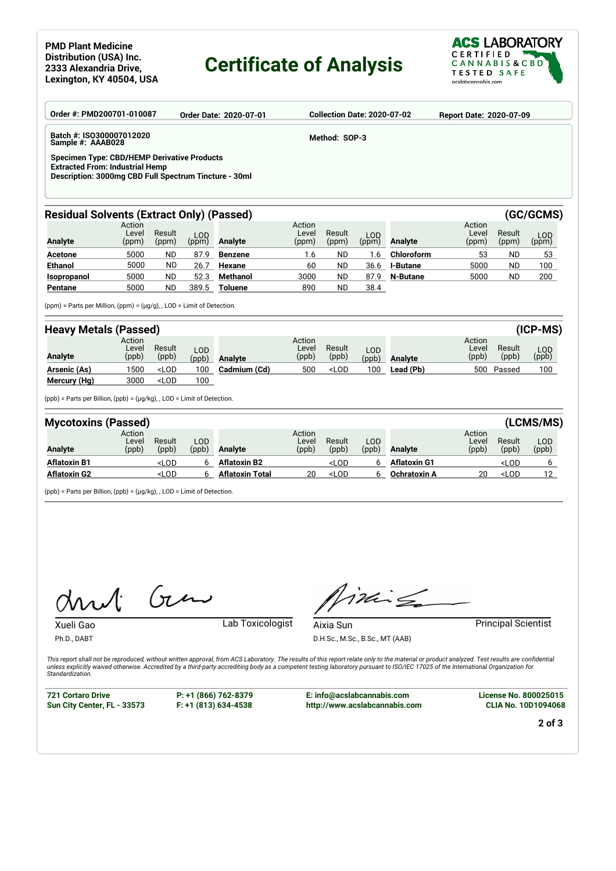### **Certificate of Analysis**



| Order #: PMD200701-010087                                                                                                                             |                          |                 |                            | <b>Order Date: 2020-07-01</b> |                          | <b>Collection Date: 2020-07-02</b> |              |                 | Report Date: 2020-07-09  |                 |                     |  |
|-------------------------------------------------------------------------------------------------------------------------------------------------------|--------------------------|-----------------|----------------------------|-------------------------------|--------------------------|------------------------------------|--------------|-----------------|--------------------------|-----------------|---------------------|--|
| Batch #: ISO300007012020<br>Sample #: AAAB028                                                                                                         |                          |                 |                            |                               |                          | Method: SOP-3                      |              |                 |                          |                 |                     |  |
| <b>Specimen Type: CBD/HEMP Derivative Products</b><br><b>Extracted From: Industrial Hemp</b><br>Description: 3000mg CBD Full Spectrum Tincture - 30ml |                          |                 |                            |                               |                          |                                    |              |                 |                          |                 |                     |  |
| <b>Residual Solvents (Extract Only) (Passed)</b>                                                                                                      |                          |                 |                            |                               |                          |                                    |              |                 |                          |                 | (GC/GCMS)           |  |
| <b>Analyte</b>                                                                                                                                        | Action<br>Level<br>(ppm) | Result<br>(ppm) | LOD<br>$(p\bar{p}\bar{m})$ | Analyte                       | Action<br>Level<br>(ppm) | Result<br>(ppm)                    | LOD<br>(ppm) | Analyte         | Action<br>Level<br>(ppm) | Result<br>(ppm) | <b>LOD</b><br>(ppm) |  |
| <b>Acetone</b>                                                                                                                                        | 5000                     | <b>ND</b>       | 87.9                       | <b>Benzene</b>                | 1.6                      | ND.                                | 1.6          | Chloroform      | 53                       | ND.             | 53                  |  |
| <b>Ethanol</b>                                                                                                                                        | 5000                     | ND              | 26.7                       | Hexane                        | 60                       | ND.                                | 36.6         | I-Butane        | 5000                     | ND.             | 100                 |  |
| Isopropanol                                                                                                                                           | 5000                     | ND              | 52.3                       | <b>Methanol</b>               | 3000                     | ND.                                | 87.9         | <b>N-Butane</b> | 5000                     | ND.             | 200                 |  |
| Pentane                                                                                                                                               | 5000                     | <b>ND</b>       | 389.5                      | <b>Toluene</b>                | 890                      | ND.                                | 38.4         |                 |                          |                 |                     |  |
| (ppm) = Parts per Million, (ppm) = (µg/g), , LOD = Limit of Detection.                                                                                |                          |                 |                            |                               |                          |                                    |              |                 |                          |                 |                     |  |
| <b>Heavy Metals (Passed)</b>                                                                                                                          |                          |                 |                            |                               |                          |                                    |              |                 |                          |                 | $(ICP-MS)$          |  |
|                                                                                                                                                       | Action                   |                 |                            |                               | Action                   |                                    |              |                 | Action                   |                 |                     |  |

| __<br>Analyte | Action<br>Level<br>(ppb) | Result<br>(ppb)                                                                                                                                                   | LOD<br>(ppb) | <b>Analyte</b> | Action<br>Level<br>(ppb) | Result<br>(ppb)                                                                          | LOD<br>(ppb) | Analyte   | Action<br>Level<br>(ppb) | Result<br>(ppb) | LOD<br>(ppb) |
|---------------|--------------------------|-------------------------------------------------------------------------------------------------------------------------------------------------------------------|--------------|----------------|--------------------------|------------------------------------------------------------------------------------------|--------------|-----------|--------------------------|-----------------|--------------|
| Arsenic (As)  | 500 ا                    | <lod< th=""><th>100</th><th>Cadmium (Cd)</th><th>500</th><th><lod< th=""><th>100</th><th>Lead (Pb)</th><th>500</th><th>Passed</th><th>100</th></lod<></th></lod<> | 100          | Cadmium (Cd)   | 500                      | <lod< th=""><th>100</th><th>Lead (Pb)</th><th>500</th><th>Passed</th><th>100</th></lod<> | 100          | Lead (Pb) | 500                      | Passed          | 100          |
| Mercury (Hg)  | 3000                     | <lod< th=""><th>100</th><th></th><th></th><th></th><th></th><th></th><th></th><th></th><th></th></lod<>                                                           | 100          |                |                          |                                                                                          |              |           |                          |                 |              |

(ppb) = Parts per Billion, (ppb) = (µg/kg), , LOD = Limit of Detection.

| <b>Mycotoxins (Passed)</b> |                          |                                                                                                                                                                                            |              |                        |                          |                                                                                                            |              |                     |                          |                                | (LCMS/MS)    |
|----------------------------|--------------------------|--------------------------------------------------------------------------------------------------------------------------------------------------------------------------------------------|--------------|------------------------|--------------------------|------------------------------------------------------------------------------------------------------------|--------------|---------------------|--------------------------|--------------------------------|--------------|
| <b>Analyte</b>             | Action<br>Level<br>(ppb) | Result<br>(ppb)                                                                                                                                                                            | LOD<br>(ppb) | Analyte                | Action<br>Level<br>(ppb) | Result<br>(ppb)                                                                                            | LOD<br>(ppb) | <b>Analyte</b>      | Action<br>Level<br>(ppb) | Result<br>(ppb)                | LOD<br>(ppb) |
| <b>Aflatoxin B1</b>        |                          | <lod< th=""><th>6</th><th><b>Aflatoxin B2</b></th><th></th><th><lod< th=""><th></th><th><b>Aflatoxin G1</b></th><th></th><th><lod< th=""><th></th></lod<></th></lod<></th></lod<>          | 6            | <b>Aflatoxin B2</b>    |                          | <lod< th=""><th></th><th><b>Aflatoxin G1</b></th><th></th><th><lod< th=""><th></th></lod<></th></lod<>     |              | <b>Aflatoxin G1</b> |                          | <lod< th=""><th></th></lod<>   |              |
| <b>Aflatoxin G2</b>        |                          | <lod< th=""><th>h</th><th><b>Aflatoxin Total</b></th><th>20</th><th><lod< th=""><th></th><th><b>Ochratoxin A</b></th><th>20</th><th><lod< th=""><th>12</th></lod<></th></lod<></th></lod<> | h            | <b>Aflatoxin Total</b> | 20                       | <lod< th=""><th></th><th><b>Ochratoxin A</b></th><th>20</th><th><lod< th=""><th>12</th></lod<></th></lod<> |              | <b>Ochratoxin A</b> | 20                       | <lod< th=""><th>12</th></lod<> | 12           |

(ppb) = Parts per Billion, (ppb) = (µg/kg), , LOD = Limit of Detection.

 $Gu$ ⁄ŀ

imis

Aixia Sun **Principal Scientist** D.H.Sc., M.Sc., B.Sc., MT (AAB)

*This report shall not be reproduced, without written approval, from ACS Laboratory. The results of this report relate only to the material or product analyzed. Test results are confidential unless explicitly waived otherwise. Accredited by a third-party accrediting body as a competent testing laboratory pursuant to ISO/IEC 17025 of the International Organization for Standardization.*

**721 Cortaro Drive Sun City Center, FL - 33573**

Ph.D., DABT

**P: +1 (866) 762-8379 F: +1 (813) 634-4538**

Xueli Gao Lab Toxicologist

**E: info@acslabcannabis.com http://www.acslabcannabis.com** **License No. 800025015 CLIA No. 10D1094068**

**2 of 3**